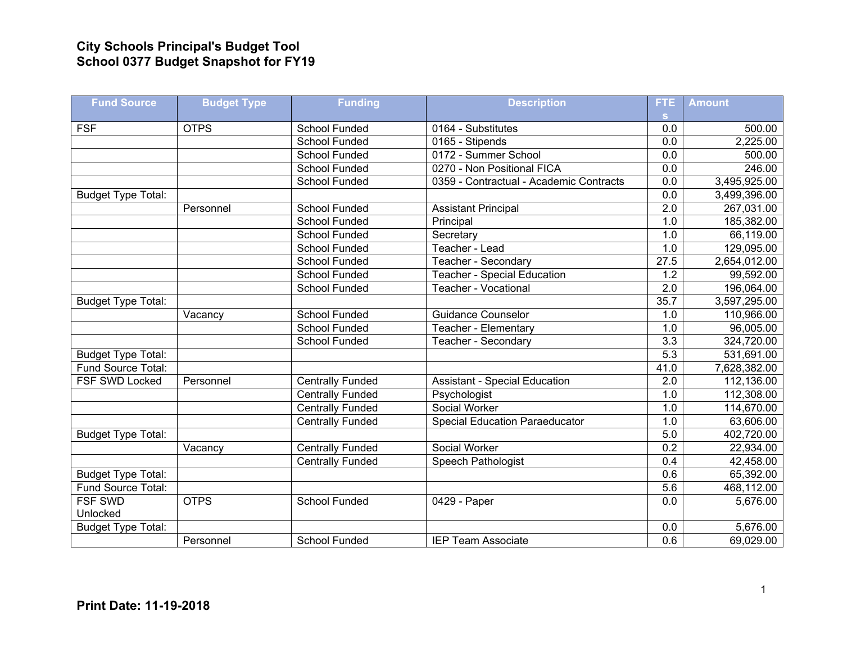## **City Schools Principal's Budget Tool School 0377 Budget Snapshot for FY19**

| <b>Fund Source</b>        | <b>Budget Type</b> | <b>Funding</b>          | <b>Description</b>                      | FTE              | <b>Amount</b> |
|---------------------------|--------------------|-------------------------|-----------------------------------------|------------------|---------------|
| <b>FSF</b>                | <b>OTPS</b>        | <b>School Funded</b>    | 0164 - Substitutes                      | s.<br>0.0        | 500.00        |
|                           |                    | School Funded           | 0165 - Stipends                         | $\overline{0.0}$ | 2,225.00      |
|                           |                    |                         |                                         |                  |               |
|                           |                    | School Funded           | 0172 - Summer School                    | 0.0              | 500.00        |
|                           |                    | <b>School Funded</b>    | 0270 - Non Positional FICA              | 0.0              | 246.00        |
|                           |                    | School Funded           | 0359 - Contractual - Academic Contracts | 0.0              | 3,495,925.00  |
| <b>Budget Type Total:</b> |                    |                         |                                         | 0.0              | 3,499,396.00  |
|                           | Personnel          | School Funded           | <b>Assistant Principal</b>              | $\overline{2.0}$ | 267,031.00    |
|                           |                    | School Funded           | Principal                               | 1.0              | 185,382.00    |
|                           |                    | School Funded           | Secretary                               | 1.0              | 66,119.00     |
|                           |                    | School Funded           | Teacher - Lead                          | 1.0              | 129,095.00    |
|                           |                    | <b>School Funded</b>    | Teacher - Secondary                     | 27.5             | 2,654,012.00  |
|                           |                    | School Funded           | <b>Teacher - Special Education</b>      | 1.2              | 99,592.00     |
|                           |                    | <b>School Funded</b>    | <b>Teacher - Vocational</b>             | 2.0              | 196,064.00    |
| <b>Budget Type Total:</b> |                    |                         |                                         | 35.7             | 3,597,295.00  |
|                           | Vacancy            | <b>School Funded</b>    | <b>Guidance Counselor</b>               | 1.0              | 110,966.00    |
|                           |                    | <b>School Funded</b>    | Teacher - Elementary                    | 1.0              | 96,005.00     |
|                           |                    | School Funded           | Teacher - Secondary                     | $\overline{3.3}$ | 324,720.00    |
| <b>Budget Type Total:</b> |                    |                         |                                         | $\overline{5.3}$ | 531,691.00    |
| Fund Source Total:        |                    |                         |                                         | 41.0             | 7,628,382.00  |
| FSF SWD Locked            | Personnel          | <b>Centrally Funded</b> | <b>Assistant - Special Education</b>    | $\overline{2.0}$ | 112,136.00    |
|                           |                    | <b>Centrally Funded</b> | Psychologist                            | 1.0              | 112,308.00    |
|                           |                    | <b>Centrally Funded</b> | Social Worker                           | 1.0              | 114,670.00    |
|                           |                    | <b>Centrally Funded</b> | <b>Special Education Paraeducator</b>   | 1.0              | 63,606.00     |
| <b>Budget Type Total:</b> |                    |                         |                                         | 5.0              | 402,720.00    |
|                           | Vacancy            | <b>Centrally Funded</b> | Social Worker                           | 0.2              | 22,934.00     |
|                           |                    | <b>Centrally Funded</b> | <b>Speech Pathologist</b>               | 0.4              | 42,458.00     |
| <b>Budget Type Total:</b> |                    |                         |                                         | 0.6              | 65,392.00     |
| Fund Source Total:        |                    |                         |                                         | 5.6              | 468,112.00    |
| <b>FSF SWD</b>            | <b>OTPS</b>        | <b>School Funded</b>    | 0429 - Paper                            | 0.0              | 5,676.00      |
| Unlocked                  |                    |                         |                                         |                  |               |
| <b>Budget Type Total:</b> |                    |                         |                                         | 0.0              | 5,676.00      |
|                           | Personnel          | <b>School Funded</b>    | <b>IEP Team Associate</b>               | 0.6              | 69,029.00     |